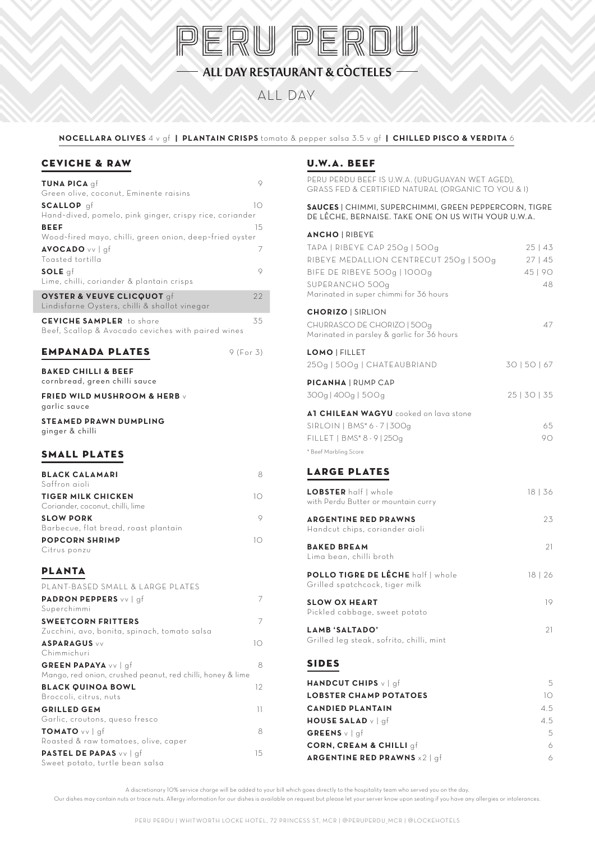

### ALL DAY RESTAURANT & COCTELES -

ALL DAY

**NOCELLARA OLIVES** 4 v gf **| PLANTAIN CRISPS** tomato & pepper salsa 3.5 v gf **| CHILLED PISCO & VERDITA** 6

#### CEVICHE & RAW

| TUNA PICA gf<br>Green olive, coconut, Eminente raisins                                | 9         |
|---------------------------------------------------------------------------------------|-----------|
| SCALLOP qf                                                                            | 10        |
| Hand-dived, pomelo, pink ginger, crispy rice, coriander                               |           |
| <b>BEEF</b>                                                                           | 15        |
| Wood-fired mayo, chilli, green onion, deep-fried oyster                               |           |
| <b>AVOCADO</b> vv   gf                                                                | 7         |
| Toasted tortilla                                                                      |           |
| SOLE qf<br>Lime, chilli, coriander & plantain crisps                                  | 9         |
| OYSTER & VEUVE CLICQUOT gf<br>Lindisfarne Oysters, chilli & shallot vinegar           | 22        |
| <b>CEVICHE SAMPLER</b> to share<br>Beef, Scallop & Avocado ceviches with paired wines | 35        |
| <b>EMPANADA PLATES</b>                                                                | 9 (For 3) |
| <b>BAKED CHILLI &amp; BEEF</b><br>cornbread, green chilli sauce                       |           |
| <b>FRIED WILD MUSHROOM &amp; HERB v</b><br>garlic sauce                               |           |
| <b>STEAMED PRAWN DUMPLING</b>                                                         |           |
| ginger & chilli                                                                       |           |
| SMALL PLATES                                                                          |           |
| <b>BLACK CALAMARI</b>                                                                 | 8         |
| Saffron aioli                                                                         |           |
| <b>TIGER MILK CHICKEN</b>                                                             | 10        |
| Coriander, coconut, chilli, lime                                                      |           |
| <b>SLOW PORK</b><br>Barbecue, flat bread, roast plantain                              | 9         |
| <b>POPCORN SHRIMP</b>                                                                 | 10        |
| Citrus ponzu                                                                          |           |
| <b>PLANTA</b>                                                                         |           |
| PLANT-BASED SMALL & LARGE PLATES                                                      |           |
| <b>PADRON PEPPERS</b> vv   gf                                                         | 7         |
| Superchimmi                                                                           |           |
| <b>SWEETCORN FRITTERS</b>                                                             | 7         |
| Zucchini, avo, bonita, spinach, tomato salsa                                          |           |
| <b>ASPARAGUS</b> vv<br>Chimmichuri                                                    | 10        |
| <b>GREEN PAPAYA</b> vv   gf                                                           | 8         |
| Mango, red onion, crushed peanut, red chilli, honey & lime                            |           |
| <b>BLACK QUINOA BOWL</b>                                                              | 12        |
| Broccoli, citrus, nuts<br><b>GRILLED GEM</b>                                          | 11        |
| Garlic, croutons, queso fresco                                                        |           |
| TOMATO vv   qf                                                                        | 8         |
| Roasted & raw tomatoes, olive, caper                                                  |           |
| PASTEL DE PAPAS vv   gf                                                               | 15        |
| Sweet potato, turtle bean salsa                                                       |           |

#### U.W.A. BEEF

PERU PERDU BEEF IS U.W.A. (URUGUAYAN WET AGED), GRASS FED & CERTIFIED NATURAL (ORGANIC TO YOU & I)

**SAUCES** | CHIMMI, SUPERCHIMMI, GREEN PEPPERCORN, TIGRE DE LÊCHE, BERNAISE. TAKE ONE ON US WITH YOUR U.W.A.

#### **ANCHO** | RIBEYE

| TAPA   RIBEYE CAP 250g   500g<br>RIBEYE MEDALLION CENTRECUT 250g   500g<br>BIFE DE RIBEYE 500g   1000g<br>SUPERANCHO 500g<br>Marinated in super chimmi for 36 hours | 25   43<br>27   45<br>45   90<br>48 |
|---------------------------------------------------------------------------------------------------------------------------------------------------------------------|-------------------------------------|
| <b>CHORIZO   SIRLION</b><br>CHURRASCO DE CHORIZO   500g<br>Marinated in parsley & garlic for 36 hours                                                               | 47                                  |
| LOMO   FILLET<br>25Og   50Og   CHATEAUBRIAND                                                                                                                        | 30   50   67                        |
| <b>PICANHA   RUMP CAP</b><br>300g   400g   500g                                                                                                                     | 25   30   35                        |
| A1 CHILEAN WAGYU cooked on lava stone<br>SIRLOIN   BMS* 6 - 7   300g<br>FILLET   BMS* 8 - 9   250g<br>* Beef Marbling Score                                         | 65<br>90                            |
| <b>LARGE PLATES</b><br><b>LOBSTER</b> half   whole<br>with Perdu Butter or mountain curry                                                                           | 18   36                             |
| <b>ARGENTINE RED PRAWNS</b><br>Handcut chips, coriander aioli                                                                                                       | 23                                  |
| <b>BAKED BREAM</b><br>Lima bean, chilli broth                                                                                                                       | 21                                  |
| POLLO TIGRE DE LÊCHE half   whole<br>Grilled spatchcock, tiger milk                                                                                                 | 18   26                             |
| <b>SLOW OX HEART</b><br>Pickled cabbage, sweet potato                                                                                                               | 19                                  |
| LAMB 'SALTADO'<br>Grilled leg steak, sofrito, chilli, mint                                                                                                          | 21                                  |
| <b>SIDES</b>                                                                                                                                                        |                                     |
| HANDCUT CHIPS v   gf<br><b>LOBSTER CHAMP POTATOES</b><br><b>CANDIED PLANTAIN</b><br><b>HOUSE SALAD</b> v   gf                                                       | 5.<br>10 <sup>1</sup><br>4.5<br>4.5 |
| GREENS $v$   gf<br><b>CORN, CREAM &amp; CHILLI</b> gf                                                                                                               | 5<br>6                              |

**ARGENTINE RED PRAWNS** x2 | gf6

A discretionary 10% service charge will be added to your bill which goes directly to the hospitality team who served you on the day.

Our dishes may contain nuts or trace nuts. Allergy information for our dishes is available on request but please let your server know upon seating if you have any allergies or intolerances.